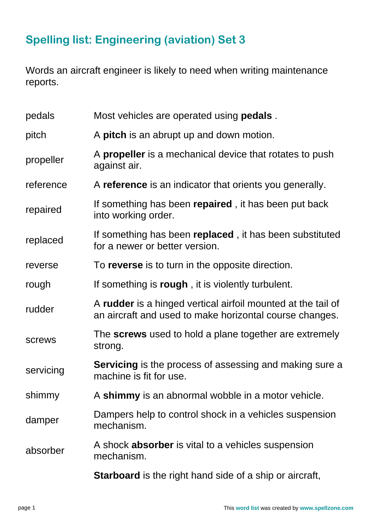## **Spelling list: Engineering (aviation) Set 3**

Words an aircraft engineer is likely to need when writing maintenance reports.

| pedals    | Most vehicles are operated using <b>pedals</b> .                                                                        |
|-----------|-------------------------------------------------------------------------------------------------------------------------|
| pitch     | A <b>pitch</b> is an abrupt up and down motion.                                                                         |
| propeller | A <b>propeller</b> is a mechanical device that rotates to push<br>against air.                                          |
| reference | A reference is an indicator that orients you generally.                                                                 |
| repaired  | If something has been repaired, it has been put back<br>into working order.                                             |
| replaced  | If something has been replaced, it has been substituted<br>for a newer or better version.                               |
| reverse   | To reverse is to turn in the opposite direction.                                                                        |
| rough     | If something is rough, it is violently turbulent.                                                                       |
| rudder    | A rudder is a hinged vertical airfoil mounted at the tail of<br>an aircraft and used to make horizontal course changes. |
| screws    | The screws used to hold a plane together are extremely<br>strong.                                                       |
| servicing | <b>Servicing</b> is the process of assessing and making sure a<br>machine is fit for use.                               |
| shimmy    | A shimmy is an abnormal wobble in a motor vehicle.                                                                      |
| damper    | Dampers help to control shock in a vehicles suspension<br>mechanism.                                                    |
| absorber  | A shock <b>absorber</b> is vital to a vehicles suspension<br>mechanism.                                                 |
|           | Starboard is the right hand side of a ship or aircraft,                                                                 |